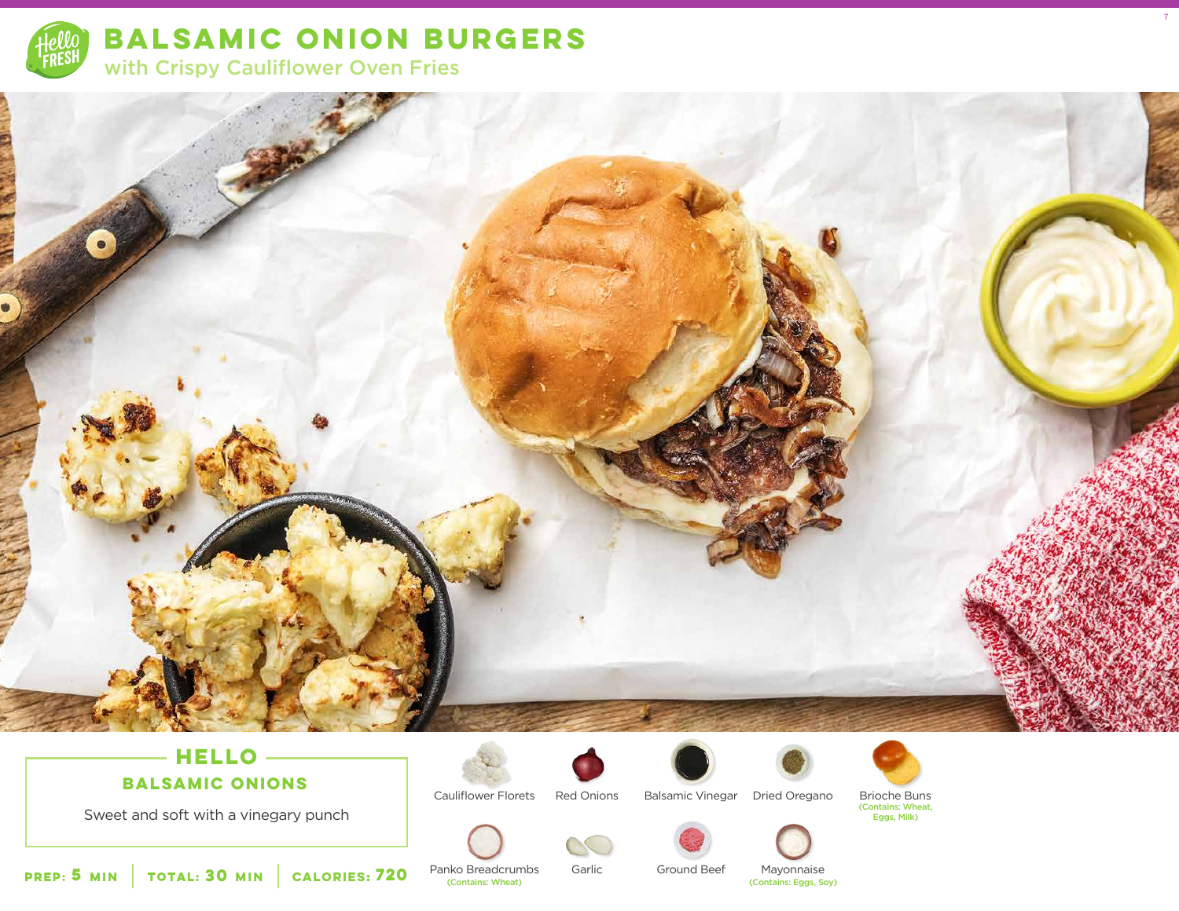

**BALSAMIC ONION BURGERS**  with Crispy Cauliflower Oven Fries



# **HELLO**

**BALSAMIC ONIONS**

Sweet and soft with a vinegary punch



Cauliflower Florets Red Onions





Balsamic Vinegar Dried Oregano Brioche Buns (Contains: Wheat, Eggs, Milk)

7

**5 30 MIN MIN CALORIES:**

Panko Breadcrumbs<br>
(Contains: Wheat) **720** CALORIES: 720 Panko Breadcrumbs Garlic Ground Beef Mayonnaise<br>(Contains: Eggs, Soy) (Contains: Wheat)

Garlic Ground Beef Mayonnaise